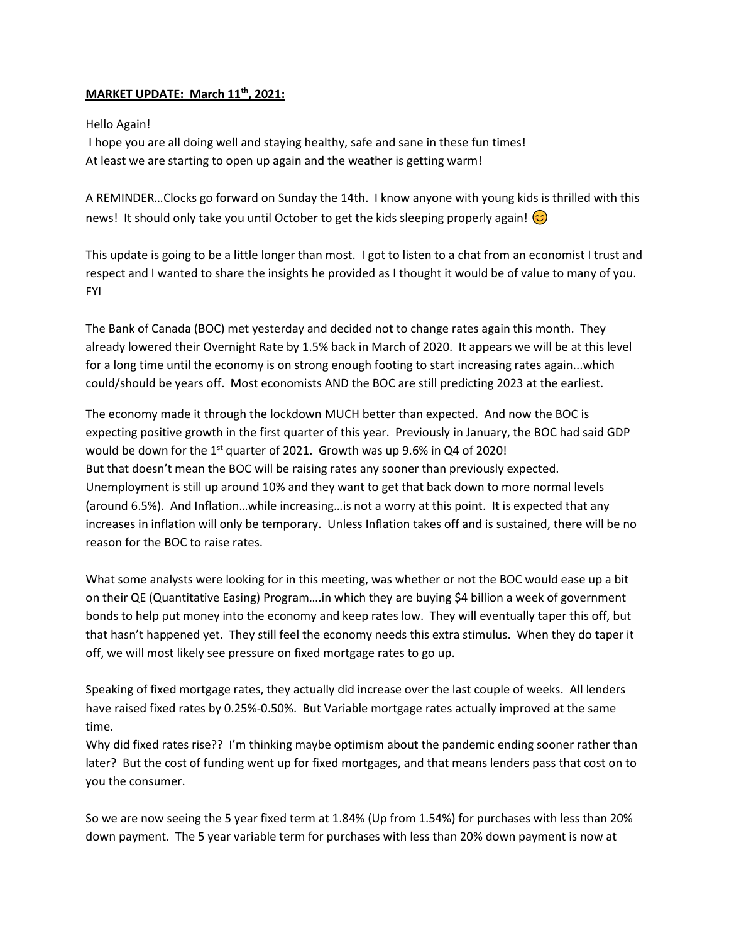## **MARKET UPDATE: March 11th, 2021:**

## Hello Again!

I hope you are all doing well and staying healthy, safe and sane in these fun times! At least we are starting to open up again and the weather is getting warm!

A REMINDER…Clocks go forward on Sunday the 14th. I know anyone with young kids is thrilled with this news! It should only take you until October to get the kids sleeping properly again!  $\circledcirc$ 

This update is going to be a little longer than most. I got to listen to a chat from an economist I trust and respect and I wanted to share the insights he provided as I thought it would be of value to many of you. FYI

The Bank of Canada (BOC) met yesterday and decided not to change rates again this month. They already lowered their Overnight Rate by 1.5% back in March of 2020. It appears we will be at this level for a long time until the economy is on strong enough footing to start increasing rates again...which could/should be years off. Most economists AND the BOC are still predicting 2023 at the earliest.

The economy made it through the lockdown MUCH better than expected. And now the BOC is expecting positive growth in the first quarter of this year. Previously in January, the BOC had said GDP would be down for the 1<sup>st</sup> quarter of 2021. Growth was up 9.6% in Q4 of 2020! But that doesn't mean the BOC will be raising rates any sooner than previously expected. Unemployment is still up around 10% and they want to get that back down to more normal levels (around 6.5%). And Inflation…while increasing…is not a worry at this point. It is expected that any increases in inflation will only be temporary. Unless Inflation takes off and is sustained, there will be no reason for the BOC to raise rates.

What some analysts were looking for in this meeting, was whether or not the BOC would ease up a bit on their QE (Quantitative Easing) Program….in which they are buying \$4 billion a week of government bonds to help put money into the economy and keep rates low. They will eventually taper this off, but that hasn't happened yet. They still feel the economy needs this extra stimulus. When they do taper it off, we will most likely see pressure on fixed mortgage rates to go up.

Speaking of fixed mortgage rates, they actually did increase over the last couple of weeks. All lenders have raised fixed rates by 0.25%-0.50%. But Variable mortgage rates actually improved at the same time.

Why did fixed rates rise?? I'm thinking maybe optimism about the pandemic ending sooner rather than later? But the cost of funding went up for fixed mortgages, and that means lenders pass that cost on to you the consumer.

So we are now seeing the 5 year fixed term at 1.84% (Up from 1.54%) for purchases with less than 20% down payment. The 5 year variable term for purchases with less than 20% down payment is now at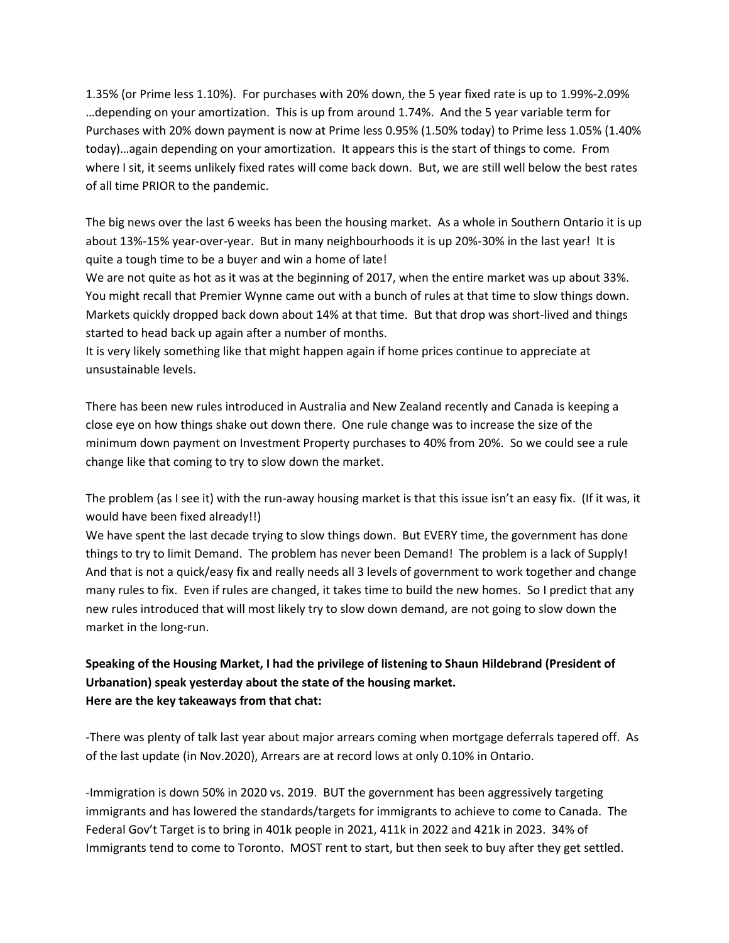1.35% (or Prime less 1.10%). For purchases with 20% down, the 5 year fixed rate is up to 1.99%-2.09% …depending on your amortization. This is up from around 1.74%. And the 5 year variable term for Purchases with 20% down payment is now at Prime less 0.95% (1.50% today) to Prime less 1.05% (1.40% today)…again depending on your amortization. It appears this is the start of things to come. From where I sit, it seems unlikely fixed rates will come back down. But, we are still well below the best rates of all time PRIOR to the pandemic.

The big news over the last 6 weeks has been the housing market. As a whole in Southern Ontario it is up about 13%-15% year-over-year. But in many neighbourhoods it is up 20%-30% in the last year! It is quite a tough time to be a buyer and win a home of late!

We are not quite as hot as it was at the beginning of 2017, when the entire market was up about 33%. You might recall that Premier Wynne came out with a bunch of rules at that time to slow things down. Markets quickly dropped back down about 14% at that time. But that drop was short-lived and things started to head back up again after a number of months.

It is very likely something like that might happen again if home prices continue to appreciate at unsustainable levels.

There has been new rules introduced in Australia and New Zealand recently and Canada is keeping a close eye on how things shake out down there. One rule change was to increase the size of the minimum down payment on Investment Property purchases to 40% from 20%. So we could see a rule change like that coming to try to slow down the market.

The problem (as I see it) with the run-away housing market is that this issue isn't an easy fix. (If it was, it would have been fixed already!!)

We have spent the last decade trying to slow things down. But EVERY time, the government has done things to try to limit Demand. The problem has never been Demand! The problem is a lack of Supply! And that is not a quick/easy fix and really needs all 3 levels of government to work together and change many rules to fix. Even if rules are changed, it takes time to build the new homes. So I predict that any new rules introduced that will most likely try to slow down demand, are not going to slow down the market in the long-run.

## **Speaking of the Housing Market, I had the privilege of listening to Shaun Hildebrand (President of Urbanation) speak yesterday about the state of the housing market. Here are the key takeaways from that chat:**

-There was plenty of talk last year about major arrears coming when mortgage deferrals tapered off. As of the last update (in Nov.2020), Arrears are at record lows at only 0.10% in Ontario.

-Immigration is down 50% in 2020 vs. 2019. BUT the government has been aggressively targeting immigrants and has lowered the standards/targets for immigrants to achieve to come to Canada. The Federal Gov't Target is to bring in 401k people in 2021, 411k in 2022 and 421k in 2023. 34% of Immigrants tend to come to Toronto. MOST rent to start, but then seek to buy after they get settled.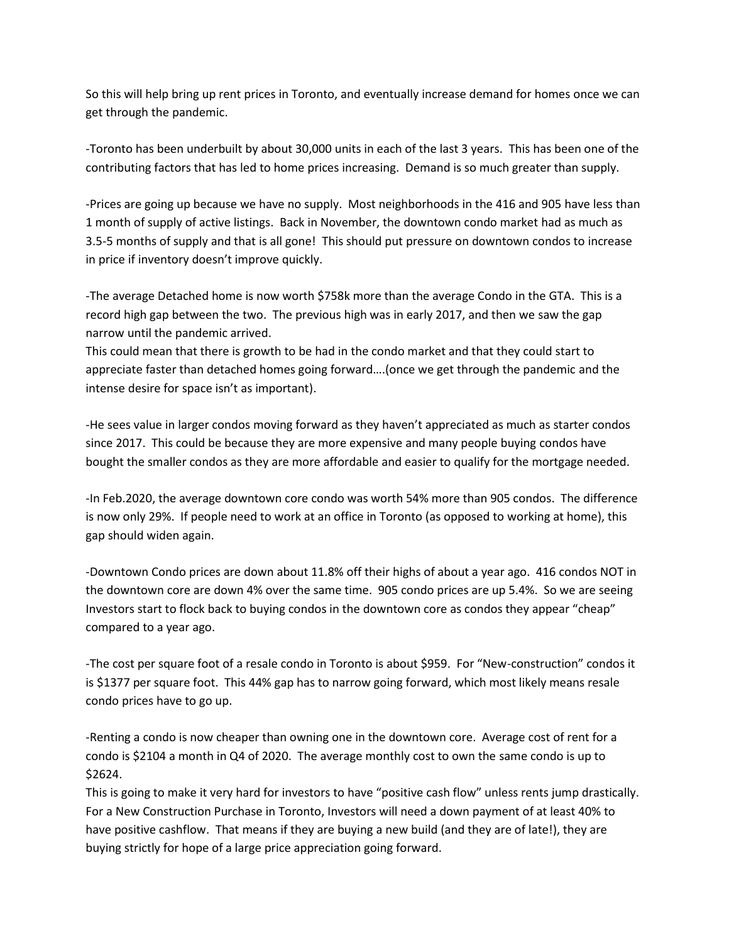So this will help bring up rent prices in Toronto, and eventually increase demand for homes once we can get through the pandemic.

-Toronto has been underbuilt by about 30,000 units in each of the last 3 years. This has been one of the contributing factors that has led to home prices increasing. Demand is so much greater than supply.

-Prices are going up because we have no supply. Most neighborhoods in the 416 and 905 have less than 1 month of supply of active listings. Back in November, the downtown condo market had as much as 3.5-5 months of supply and that is all gone! This should put pressure on downtown condos to increase in price if inventory doesn't improve quickly.

-The average Detached home is now worth \$758k more than the average Condo in the GTA. This is a record high gap between the two. The previous high was in early 2017, and then we saw the gap narrow until the pandemic arrived.

This could mean that there is growth to be had in the condo market and that they could start to appreciate faster than detached homes going forward….(once we get through the pandemic and the intense desire for space isn't as important).

-He sees value in larger condos moving forward as they haven't appreciated as much as starter condos since 2017. This could be because they are more expensive and many people buying condos have bought the smaller condos as they are more affordable and easier to qualify for the mortgage needed.

-In Feb.2020, the average downtown core condo was worth 54% more than 905 condos. The difference is now only 29%. If people need to work at an office in Toronto (as opposed to working at home), this gap should widen again.

-Downtown Condo prices are down about 11.8% off their highs of about a year ago. 416 condos NOT in the downtown core are down 4% over the same time. 905 condo prices are up 5.4%. So we are seeing Investors start to flock back to buying condos in the downtown core as condos they appear "cheap" compared to a year ago.

-The cost per square foot of a resale condo in Toronto is about \$959. For "New-construction" condos it is \$1377 per square foot. This 44% gap has to narrow going forward, which most likely means resale condo prices have to go up.

-Renting a condo is now cheaper than owning one in the downtown core. Average cost of rent for a condo is \$2104 a month in Q4 of 2020. The average monthly cost to own the same condo is up to \$2624.

This is going to make it very hard for investors to have "positive cash flow" unless rents jump drastically. For a New Construction Purchase in Toronto, Investors will need a down payment of at least 40% to have positive cashflow. That means if they are buying a new build (and they are of late!), they are buying strictly for hope of a large price appreciation going forward.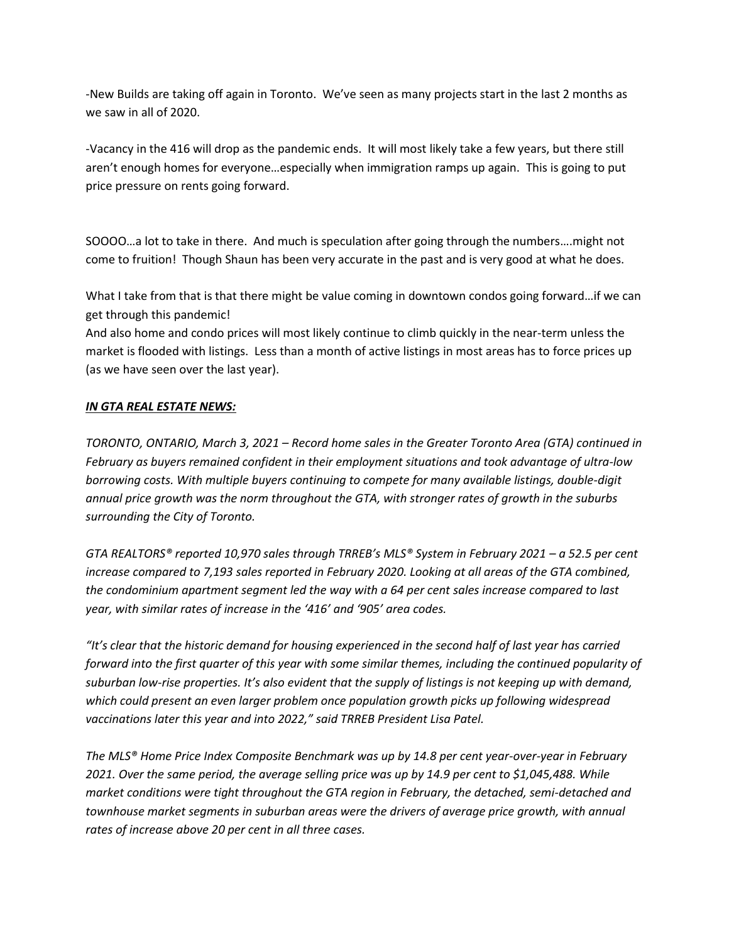-New Builds are taking off again in Toronto. We've seen as many projects start in the last 2 months as we saw in all of 2020.

-Vacancy in the 416 will drop as the pandemic ends. It will most likely take a few years, but there still aren't enough homes for everyone…especially when immigration ramps up again. This is going to put price pressure on rents going forward.

SOOOO…a lot to take in there. And much is speculation after going through the numbers….might not come to fruition! Though Shaun has been very accurate in the past and is very good at what he does.

What I take from that is that there might be value coming in downtown condos going forward…if we can get through this pandemic!

And also home and condo prices will most likely continue to climb quickly in the near-term unless the market is flooded with listings. Less than a month of active listings in most areas has to force prices up (as we have seen over the last year).

## *IN GTA REAL ESTATE NEWS:*

*TORONTO, ONTARIO, March 3, 2021 – Record home sales in the Greater Toronto Area (GTA) continued in February as buyers remained confident in their employment situations and took advantage of ultra-low borrowing costs. With multiple buyers continuing to compete for many available listings, double-digit annual price growth was the norm throughout the GTA, with stronger rates of growth in the suburbs surrounding the City of Toronto.* 

*GTA REALTORS® reported 10,970 sales through TRREB's MLS® System in February 2021 – a 52.5 per cent increase compared to 7,193 sales reported in February 2020. Looking at all areas of the GTA combined, the condominium apartment segment led the way with a 64 per cent sales increase compared to last year, with similar rates of increase in the '416' and '905' area codes.* 

*"It's clear that the historic demand for housing experienced in the second half of last year has carried forward into the first quarter of this year with some similar themes, including the continued popularity of suburban low-rise properties. It's also evident that the supply of listings is not keeping up with demand, which could present an even larger problem once population growth picks up following widespread vaccinations later this year and into 2022," said TRREB President Lisa Patel.* 

*The MLS® Home Price Index Composite Benchmark was up by 14.8 per cent year-over-year in February 2021. Over the same period, the average selling price was up by 14.9 per cent to \$1,045,488. While market conditions were tight throughout the GTA region in February, the detached, semi-detached and townhouse market segments in suburban areas were the drivers of average price growth, with annual rates of increase above 20 per cent in all three cases.*